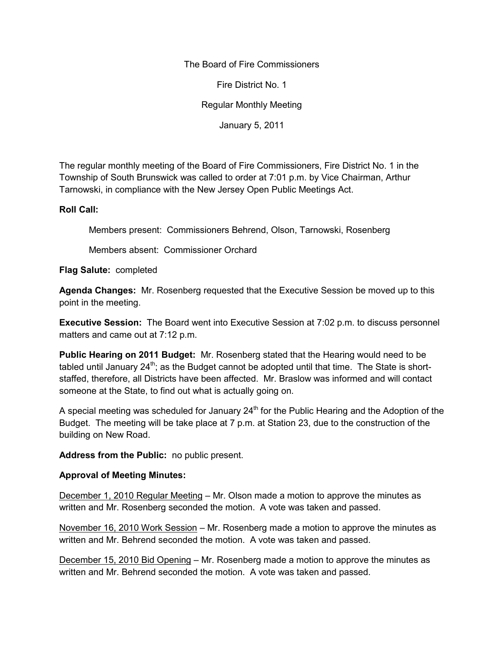The Board of Fire Commissioners

Fire District No. 1

Regular Monthly Meeting

January 5, 2011

The regular monthly meeting of the Board of Fire Commissioners, Fire District No. 1 in the Township of South Brunswick was called to order at 7:01 p.m. by Vice Chairman, Arthur Tarnowski, in compliance with the New Jersey Open Public Meetings Act.

#### **Roll Call:**

Members present: Commissioners Behrend, Olson, Tarnowski, Rosenberg

Members absent: Commissioner Orchard

**Flag Salute:** completed

**Agenda Changes:** Mr. Rosenberg requested that the Executive Session be moved up to this point in the meeting.

**Executive Session:** The Board went into Executive Session at 7:02 p.m. to discuss personnel matters and came out at 7:12 p.m.

**Public Hearing on 2011 Budget:** Mr. Rosenberg stated that the Hearing would need to be tabled until January  $24^{th}$ ; as the Budget cannot be adopted until that time. The State is shortstaffed, therefore, all Districts have been affected. Mr. Braslow was informed and will contact someone at the State, to find out what is actually going on.

A special meeting was scheduled for January  $24<sup>th</sup>$  for the Public Hearing and the Adoption of the Budget. The meeting will be take place at 7 p.m. at Station 23, due to the construction of the building on New Road.

**Address from the Public:** no public present.

### **Approval of Meeting Minutes:**

December 1, 2010 Regular Meeting – Mr. Olson made a motion to approve the minutes as written and Mr. Rosenberg seconded the motion. A vote was taken and passed.

November 16, 2010 Work Session – Mr. Rosenberg made a motion to approve the minutes as written and Mr. Behrend seconded the motion. A vote was taken and passed.

December 15, 2010 Bid Opening – Mr. Rosenberg made a motion to approve the minutes as written and Mr. Behrend seconded the motion. A vote was taken and passed.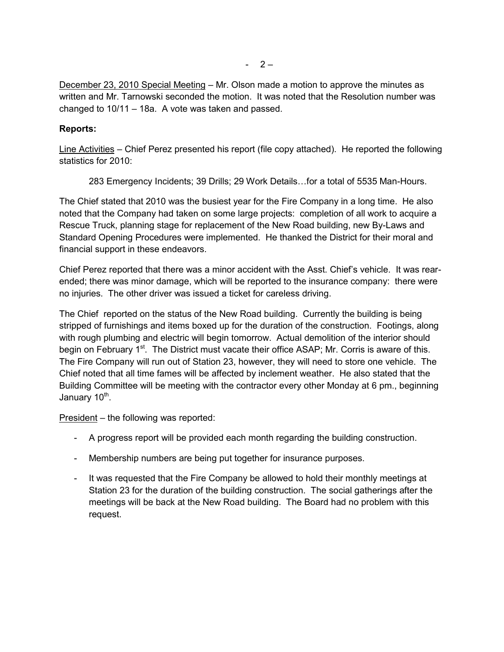December 23, 2010 Special Meeting – Mr. Olson made a motion to approve the minutes as written and Mr. Tarnowski seconded the motion. It was noted that the Resolution number was changed to 10/11 – 18a. A vote was taken and passed.

# **Reports:**

Line Activities – Chief Perez presented his report (file copy attached). He reported the following statistics for 2010:

283 Emergency Incidents; 39 Drills; 29 Work Details…for a total of 5535 Man-Hours.

The Chief stated that 2010 was the busiest year for the Fire Company in a long time. He also noted that the Company had taken on some large projects: completion of all work to acquire a Rescue Truck, planning stage for replacement of the New Road building, new By-Laws and Standard Opening Procedures were implemented. He thanked the District for their moral and financial support in these endeavors.

Chief Perez reported that there was a minor accident with the Asst. Chief's vehicle. It was rear ended; there was minor damage, which will be reported to the insurance company: there were no injuries. The other driver was issued a ticket for careless driving.

The Chief reported on the status of the New Road building. Currently the building is being stripped of furnishings and items boxed up for the duration of the construction. Footings, along with rough plumbing and electric will begin tomorrow. Actual demolition of the interior should begin on February 1<sup>st</sup>. The District must vacate their office ASAP; Mr. Corris is aware of this. The Fire Company will run out of Station 23, however, they will need to store one vehicle. The Chief noted that all time fames will be affected by inclement weather. He also stated that the Building Committee will be meeting with the contractor every other Monday at 6 pm., beginning January 10<sup>th</sup>.

President – the following was reported:

- A progress report will be provided each month regarding the building construction.
- Membership numbers are being put together for insurance purposes.
- It was requested that the Fire Company be allowed to hold their monthly meetings at Station 23 for the duration of the building construction. The social gatherings after the meetings will be back at the New Road building. The Board had no problem with this request.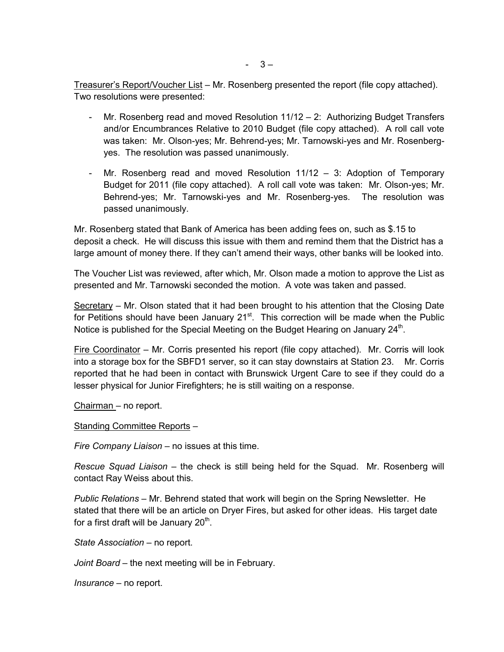Treasurer's Report/Voucher List – Mr. Rosenberg presented the report (file copy attached). Two resolutions were presented:

- Mr. Rosenberg read and moved Resolution 11/12 2: Authorizing Budget Transfers and/or Encumbrances Relative to 2010 Budget (file copy attached). A roll call vote was taken: Mr. Olson-yes; Mr. Behrend-yes; Mr. Tarnowski-yes and Mr. Rosenberg yes. The resolution was passed unanimously.
- Mr. Rosenberg read and moved Resolution  $11/12 3$ : Adoption of Temporary Budget for 2011 (file copy attached). A roll call vote was taken: Mr. Olson-yes; Mr. Behrend-yes; Mr. Tarnowski-yes and Mr. Rosenberg-yes. The resolution was passed unanimously.

Mr. Rosenberg stated that Bank of America has been adding fees on, such as \$.15 to deposit a check. He will discuss this issue with them and remind them that the District has a large amount of money there. If they can't amend their ways, other banks will be looked into.

The Voucher List was reviewed, after which, Mr. Olson made a motion to approve the List as presented and Mr. Tarnowski seconded the motion. A vote was taken and passed.

Secretary – Mr. Olson stated that it had been brought to his attention that the Closing Date for Petitions should have been January  $21<sup>st</sup>$ . This correction will be made when the Public Notice is published for the Special Meeting on the Budget Hearing on January 24<sup>th</sup>.

Fire Coordinator – Mr. Corris presented his report (file copy attached). Mr. Corris will look into a storage box for the SBFD1 server, so it can stay downstairs at Station 23. Mr. Corris reported that he had been in contact with Brunswick Urgent Care to see if they could do a lesser physical for Junior Firefighters; he is still waiting on a response.

Chairman – no report.

#### Standing Committee Reports –

*Fire Company Liaison –* no issues at this time.

*Rescue Squad Liaison –* the check is still being held for the Squad. Mr. Rosenberg will contact Ray Weiss about this.

*Public Relations –* Mr. Behrend stated that work will begin on the Spring Newsletter. He stated that there will be an article on Dryer Fires, but asked for other ideas. His target date for a first draft will be January 20<sup>th</sup>.

*State Association –* no report.

*Joint Board –* the next meeting will be in February.

*Insurance –* no report.